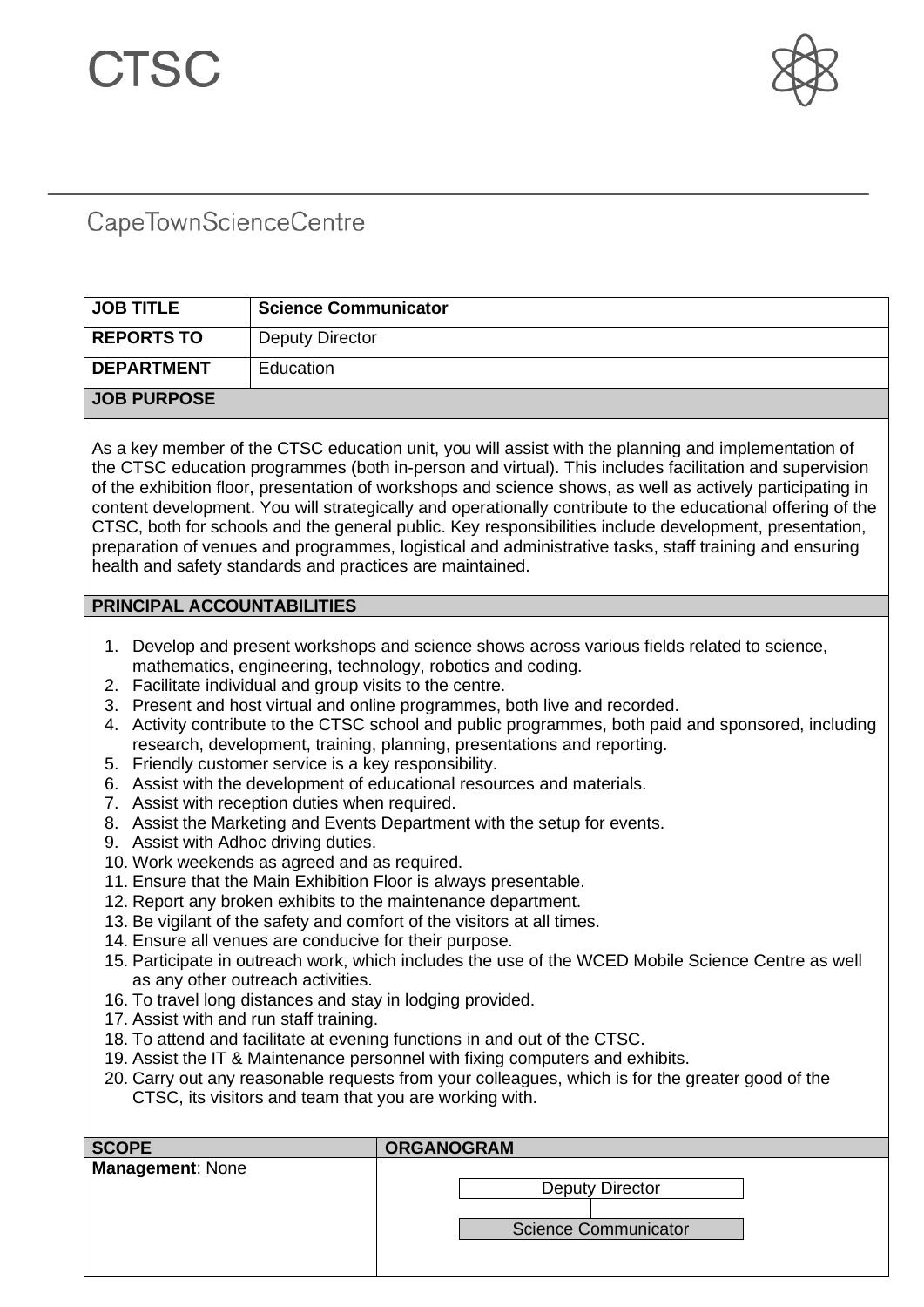

## CapeTownScienceCentre

| <b>JOB TITLE</b>                                                                                                                                                                                                                                                                                                                                                                                                                                                                                                                                                                                                                                                                                                                                                                                                                                                                                                                                                                                                                                                                                                                                                                                                                                                                                                                                                                                                                                                                                                                                                                                                                                                                                                | <b>Science Communicator</b> |  |
|-----------------------------------------------------------------------------------------------------------------------------------------------------------------------------------------------------------------------------------------------------------------------------------------------------------------------------------------------------------------------------------------------------------------------------------------------------------------------------------------------------------------------------------------------------------------------------------------------------------------------------------------------------------------------------------------------------------------------------------------------------------------------------------------------------------------------------------------------------------------------------------------------------------------------------------------------------------------------------------------------------------------------------------------------------------------------------------------------------------------------------------------------------------------------------------------------------------------------------------------------------------------------------------------------------------------------------------------------------------------------------------------------------------------------------------------------------------------------------------------------------------------------------------------------------------------------------------------------------------------------------------------------------------------------------------------------------------------|-----------------------------|--|
| <b>REPORTS TO</b>                                                                                                                                                                                                                                                                                                                                                                                                                                                                                                                                                                                                                                                                                                                                                                                                                                                                                                                                                                                                                                                                                                                                                                                                                                                                                                                                                                                                                                                                                                                                                                                                                                                                                               | <b>Deputy Director</b>      |  |
| <b>DEPARTMENT</b>                                                                                                                                                                                                                                                                                                                                                                                                                                                                                                                                                                                                                                                                                                                                                                                                                                                                                                                                                                                                                                                                                                                                                                                                                                                                                                                                                                                                                                                                                                                                                                                                                                                                                               | Education                   |  |
| <b>JOB PURPOSE</b>                                                                                                                                                                                                                                                                                                                                                                                                                                                                                                                                                                                                                                                                                                                                                                                                                                                                                                                                                                                                                                                                                                                                                                                                                                                                                                                                                                                                                                                                                                                                                                                                                                                                                              |                             |  |
| As a key member of the CTSC education unit, you will assist with the planning and implementation of<br>the CTSC education programmes (both in-person and virtual). This includes facilitation and supervision<br>of the exhibition floor, presentation of workshops and science shows, as well as actively participating in<br>content development. You will strategically and operationally contribute to the educational offering of the<br>CTSC, both for schools and the general public. Key responsibilities include development, presentation,<br>preparation of venues and programmes, logistical and administrative tasks, staff training and ensuring<br>health and safety standards and practices are maintained.                                                                                                                                                                                                                                                                                                                                                                                                                                                                                                                                                                                                                                                                                                                                                                                                                                                                                                                                                                                     |                             |  |
| PRINCIPAL ACCOUNTABILITIES                                                                                                                                                                                                                                                                                                                                                                                                                                                                                                                                                                                                                                                                                                                                                                                                                                                                                                                                                                                                                                                                                                                                                                                                                                                                                                                                                                                                                                                                                                                                                                                                                                                                                      |                             |  |
| Develop and present workshops and science shows across various fields related to science,<br>1.<br>mathematics, engineering, technology, robotics and coding.<br>2. Facilitate individual and group visits to the centre.<br>3. Present and host virtual and online programmes, both live and recorded.<br>Activity contribute to the CTSC school and public programmes, both paid and sponsored, including<br>4.<br>research, development, training, planning, presentations and reporting.<br>5. Friendly customer service is a key responsibility.<br>6. Assist with the development of educational resources and materials.<br>7. Assist with reception duties when required.<br>8. Assist the Marketing and Events Department with the setup for events.<br>9. Assist with Adhoc driving duties.<br>10. Work weekends as agreed and as required.<br>11. Ensure that the Main Exhibition Floor is always presentable.<br>12. Report any broken exhibits to the maintenance department.<br>13. Be vigilant of the safety and comfort of the visitors at all times.<br>14. Ensure all venues are conducive for their purpose.<br>15. Participate in outreach work, which includes the use of the WCED Mobile Science Centre as well<br>as any other outreach activities.<br>16. To travel long distances and stay in lodging provided.<br>17. Assist with and run staff training.<br>18. To attend and facilitate at evening functions in and out of the CTSC.<br>19. Assist the IT & Maintenance personnel with fixing computers and exhibits.<br>20. Carry out any reasonable requests from your colleagues, which is for the greater good of the<br>CTSC, its visitors and team that you are working with. |                             |  |
| <b>SCOPE</b>                                                                                                                                                                                                                                                                                                                                                                                                                                                                                                                                                                                                                                                                                                                                                                                                                                                                                                                                                                                                                                                                                                                                                                                                                                                                                                                                                                                                                                                                                                                                                                                                                                                                                                    | <b>ORGANOGRAM</b>           |  |
| <b>Management: None</b>                                                                                                                                                                                                                                                                                                                                                                                                                                                                                                                                                                                                                                                                                                                                                                                                                                                                                                                                                                                                                                                                                                                                                                                                                                                                                                                                                                                                                                                                                                                                                                                                                                                                                         |                             |  |

Deputy Director

Science Communicator